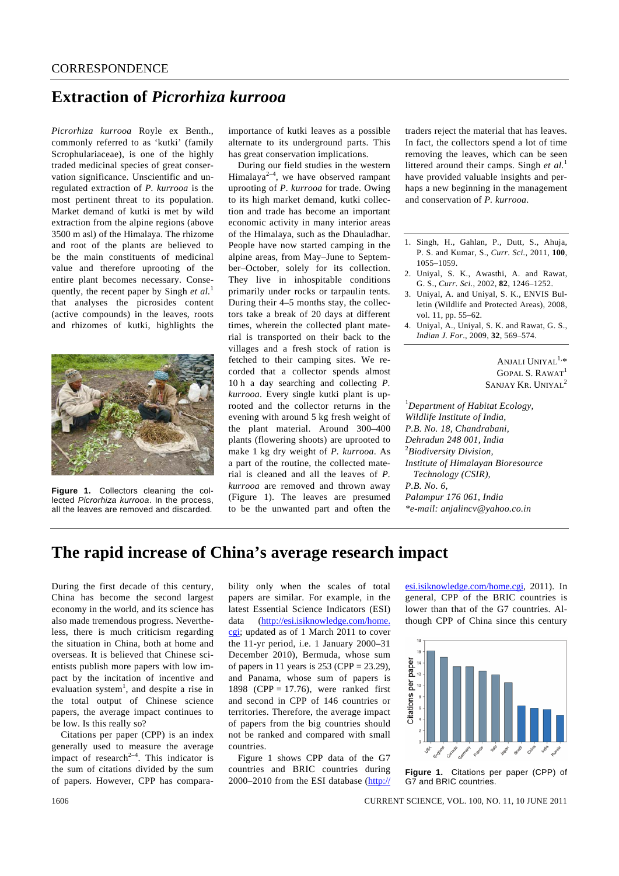## **Extraction of** *Picrorhiza kurrooa*

*Picrorhiza kurrooa* Royle ex Benth., commonly referred to as 'kutki' (family Scrophulariaceae), is one of the highly traded medicinal species of great conservation significance. Unscientific and unregulated extraction of *P. kurrooa* is the most pertinent threat to its population. Market demand of kutki is met by wild extraction from the alpine regions (above 3500 m asl) of the Himalaya. The rhizome and root of the plants are believed to be the main constituents of medicinal value and therefore uprooting of the entire plant becomes necessary. Consequently, the recent paper by Singh *et al.*<sup>1</sup> that analyses the picrosides content (active compounds) in the leaves, roots and rhizomes of kutki, highlights the



**Figure 1.** Collectors cleaning the collected *Picrorhiza kurrooa*. In the process, all the leaves are removed and discarded.

importance of kutki leaves as a possible alternate to its underground parts. This has great conservation implications.

 During our field studies in the western Himalaya<sup>2-4</sup>, we have observed rampant uprooting of *P. kurrooa* for trade. Owing to its high market demand, kutki collection and trade has become an important economic activity in many interior areas of the Himalaya, such as the Dhauladhar. People have now started camping in the alpine areas, from May–June to September–October, solely for its collection. They live in inhospitable conditions primarily under rocks or tarpaulin tents. During their 4–5 months stay, the collectors take a break of 20 days at different times, wherein the collected plant material is transported on their back to the villages and a fresh stock of ration is fetched to their camping sites. We recorded that a collector spends almost 10 h a day searching and collecting *P. kurrooa*. Every single kutki plant is uprooted and the collector returns in the evening with around 5 kg fresh weight of the plant material. Around 300–400 plants (flowering shoots) are uprooted to make 1 kg dry weight of *P. kurrooa*. As a part of the routine, the collected material is cleaned and all the leaves of *P. kurrooa* are removed and thrown away (Figure 1). The leaves are presumed to be the unwanted part and often the traders reject the material that has leaves. In fact, the collectors spend a lot of time removing the leaves, which can be seen littered around their camps. Singh *et al.*<sup>1</sup> have provided valuable insights and perhaps a new beginning in the management and conservation of *P. kurrooa*.

- 1. Singh, H., Gahlan, P., Dutt, S., Ahuja, P. S. and Kumar, S., *Curr. Sci.*, 2011, **100**, 1055–1059.
- 2. Uniyal, S. K., Awasthi, A. and Rawat, G. S., *Curr. Sci.*, 2002, **82**, 1246–1252.
- 3. Uniyal, A. and Uniyal, S. K., ENVIS Bulletin (Wildlife and Protected Areas), 2008, vol. 11, pp. 55–62.
- 4. Uniyal, A., Uniyal, S. K. and Rawat, G. S., *Indian J. For*., 2009, **32**, 569–574.

ANJALI UNIYAL<sup>1,\*</sup> GOPAL S. RAWAT<sup>1</sup> SANJAY KR. UNIYAL<sup>2</sup>

1 *Department of Habitat Ecology, Wildlife Institute of India, P.B. No. 18, Chandrabani, Dehradun 248 001, India*  2 *Biodiversity Division, Institute of Himalayan Bioresource Technology (CSIR), P.B. No. 6, Palampur 176 061, India \*e-mail: anjalincv@yahoo.co.in* 

## **The rapid increase of China's average research impact**

During the first decade of this century, China has become the second largest economy in the world, and its science has also made tremendous progress. Nevertheless, there is much criticism regarding the situation in China, both at home and overseas. It is believed that Chinese scientists publish more papers with low impact by the incitation of incentive and evaluation system<sup>1</sup>, and despite a rise in the total output of Chinese science papers, the average impact continues to be low. Is this really so?

 Citations per paper (CPP) is an index generally used to measure the average impact of research<sup>2-4</sup>. This indicator is the sum of citations divided by the sum of papers. However, CPP has compara-

data (http://esi.isiknowledge.com/home. cgi; updated as of 1 March 2011 to cover the 11-yr period, i.e. 1 January 2000–31 December 2010), Bermuda, whose sum of papers in 11 years is  $253$  (CPP =  $23.29$ ), and Panama, whose sum of papers is 1898 (CPP = 17.76), were ranked first and second in CPP of 146 countries or territories. Therefore, the average impact of papers from the big countries should not be ranked and compared with small countries. Figure 1 shows CPP data of the G7

countries and BRIC countries during 2000–2010 from the ESI database (http://

bility only when the scales of total papers are similar. For example, in the latest Essential Science Indicators (ESI) esi.isiknowledge.com/home.cgi, 2011). In general, CPP of the BRIC countries is lower than that of the G7 countries. Although CPP of China since this century



**Figure 1.** Citations per paper (CPP) of G7 and BRIC countries.